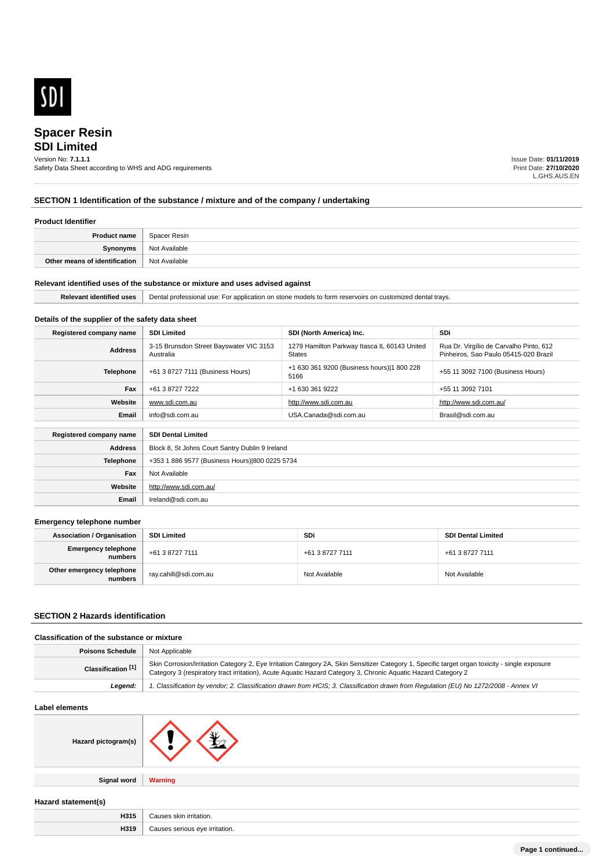

# **SDI Limited Spacer Resin**

# Version No: **7.1.1.1**

Safety Data Sheet according to WHS and ADG requirements

Issue Date: **01/11/2019** Print Date: **27/10/2020** L.GHS.AUS.EN

# **SECTION 1 Identification of the substance / mixture and of the company / undertaking**

#### **Product Identifier**

| <b>Product name</b>           | Spacer Resin  |
|-------------------------------|---------------|
| Synonyms                      | Not Available |
| Other means of identification | Not Available |

#### **Relevant identified uses of the substance or mixture and uses advised against**

**Email** Ireland@sdi.com.au

| ---<br>uses<br>Identified<br>ĸe | 'Jenta.<br>∴ customized dental a<br>I professiona<br>i travs<br>. For application.<br>use:<br><b>LITESEIVOILS</b><br>∴∩n r.<br>n stone models to torm<br>Ωr<br>. . |
|---------------------------------|--------------------------------------------------------------------------------------------------------------------------------------------------------------------|
|                                 |                                                                                                                                                                    |

### **Details of the supplier of the safety data sheet**

| Registered company name                              | <b>SDI Limited</b>                                   | SDI (North America) Inc.                                      | SDi                                                                              |
|------------------------------------------------------|------------------------------------------------------|---------------------------------------------------------------|----------------------------------------------------------------------------------|
| <b>Address</b>                                       | 3-15 Brunsdon Street Bayswater VIC 3153<br>Australia | 1279 Hamilton Parkway Itasca IL 60143 United<br><b>States</b> | Rua Dr. Virgílio de Carvalho Pinto, 612<br>Pinheiros, Sao Paulo 05415-020 Brazil |
| <b>Telephone</b>                                     | +61 3 8727 7111 (Business Hours)                     | +1 630 361 9200 (Business hours) 1 800 228<br>5166            | +55 11 3092 7100 (Business Hours)                                                |
| Fax                                                  | +61 3 8727 7222                                      | +1 630 361 9222                                               | +55 11 3092 7101                                                                 |
| Website                                              | www.sdi.com.au                                       | http://www.sdi.com.au                                         | http://www.sdi.com.au/                                                           |
| Email                                                | info@sdi.com.au                                      | USA.Canada@sdi.com.au                                         | Brasil@sdi.com.au                                                                |
| Registered company name<br><b>SDI Dental Limited</b> |                                                      |                                                               |                                                                                  |
| <b>Address</b>                                       | Block 8, St Johns Court Santry Dublin 9 Ireland      |                                                               |                                                                                  |
| Telephone                                            | +353 1 886 9577 (Business Hours) 800 0225 5734       |                                                               |                                                                                  |
| Fax                                                  | Not Available                                        |                                                               |                                                                                  |
| Website                                              | http://www.sdi.com.au/                               |                                                               |                                                                                  |

#### **Emergency telephone number**

| <b>Association / Organisation</b>    | <b>SDI Limited</b>    | <b>SDi</b>      | <b>SDI Dental Limited</b> |
|--------------------------------------|-----------------------|-----------------|---------------------------|
| Emergency telephone<br>numbers       | +61 3 8727 7111       | +61 3 8727 7111 | +61 3 8727 7111           |
| Other emergency telephone<br>numbers | ray.cahill@sdi.com.au | Not Available   | Not Available             |

#### **SECTION 2 Hazards identification**

# **Classification of the substance or mixture**

| <b>Poisons Schedule</b> | Not Applicable                                                                                                                                                                                                                                                  |
|-------------------------|-----------------------------------------------------------------------------------------------------------------------------------------------------------------------------------------------------------------------------------------------------------------|
| Classification [1]      | Skin Corrosion/Irritation Category 2, Eye Irritation Category 2A, Skin Sensitizer Category 1, Specific target organ toxicity - single exposure<br>Category 3 (respiratory tract irritation), Acute Aguatic Hazard Category 3, Chronic Aguatic Hazard Category 2 |
| Leaend:                 | 1. Classification by vendor; 2. Classification drawn from HCIS; 3. Classification drawn from Requlation (EU) No 1272/2008 - Annex VI                                                                                                                            |

### **Label elements**

| Hazard pictogram(s) |  |
|---------------------|--|
|                     |  |

**Signal word Warning**

# **Hazard statement(s)**

| H315 | 11 C IC<br> |
|------|-------------|
| H319 | ∘tion       |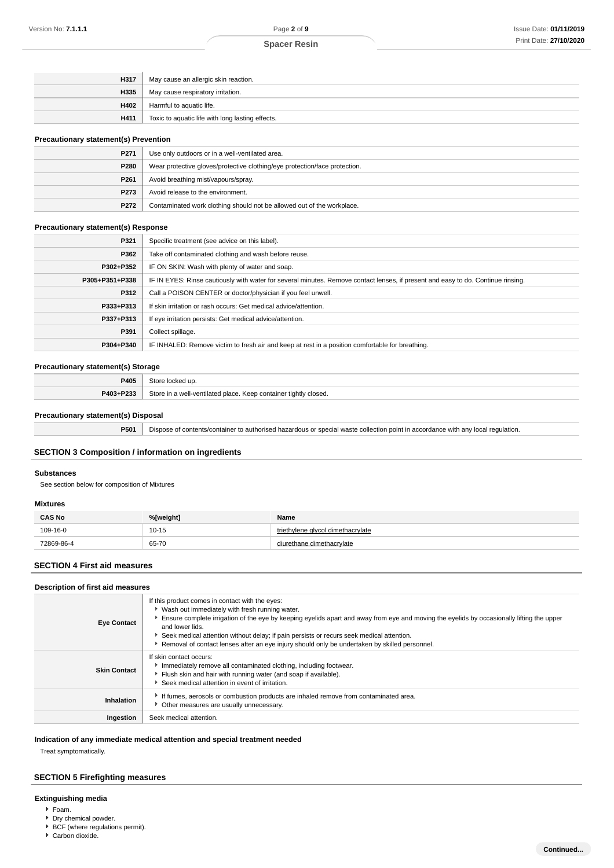| H317 | May cause an allergic skin reaction.             |
|------|--------------------------------------------------|
| H335 | May cause respiratory irritation.                |
| H402 | Harmful to aquatic life.                         |
| H411 | Toxic to aquatic life with long lasting effects. |

#### **Precautionary statement(s) Prevention**

| $\ldots$         |                                                                            |  |
|------------------|----------------------------------------------------------------------------|--|
| P <sub>271</sub> | Use only outdoors or in a well-ventilated area.                            |  |
| P280             | Wear protective gloves/protective clothing/eye protection/face protection. |  |
| P <sub>261</sub> | Avoid breathing mist/vapours/spray.                                        |  |
| P <sub>273</sub> | Avoid release to the environment.                                          |  |
| P272             | Contaminated work clothing should not be allowed out of the workplace.     |  |

#### **Precautionary statement(s) Response**

| P321           | Specific treatment (see advice on this label).                                                                                   |
|----------------|----------------------------------------------------------------------------------------------------------------------------------|
| P362           | Take off contaminated clothing and wash before reuse.                                                                            |
| P302+P352      | IF ON SKIN: Wash with plenty of water and soap.                                                                                  |
| P305+P351+P338 | IF IN EYES: Rinse cautiously with water for several minutes. Remove contact lenses, if present and easy to do. Continue rinsing. |
| P312           | Call a POISON CENTER or doctor/physician if you feel unwell.                                                                     |
| P333+P313      | If skin irritation or rash occurs: Get medical advice/attention.                                                                 |
| P337+P313      | If eye irritation persists: Get medical advice/attention.                                                                        |
| P391           | Collect spillage.                                                                                                                |
| P304+P340      | IF INHALED: Remove victim to fresh air and keep at rest in a position comfortable for breathing.                                 |

# **Precautionary statement(s) Storage**

| P405                                   | store.<br>$\sim$<br>.                                                                                   |
|----------------------------------------|---------------------------------------------------------------------------------------------------------|
| . <b>Then</b><br><b>DA03</b><br>$\sim$ | Store<br>tightly<br>container<br>closed.<br>I-ventilated place<br>$\mathsf{m} \circ \mathsf{m}$<br>Keep |

### **Precautionary statement(s) Disposal**

**P501** Dispose of contents/container to authorised hazardous or special waste collection point in accordance with any local regulation.

# **SECTION 3 Composition / information on ingredients**

#### **Substances**

See section below for composition of Mixtures

#### **Mixtures**

| <b>CAS No</b> | %[weight] | Name                              |
|---------------|-----------|-----------------------------------|
| 109-16-0      | $10 - 15$ | triethylene glycol dimethacrylate |
| 72869-86-4    | 65-70     | diurethane dimethacrylate         |

### **SECTION 4 First aid measures**

#### **Description of first aid measures**

| <b>Eye Contact</b>  | If this product comes in contact with the eyes:<br>▶ Wash out immediately with fresh running water.<br>Ensure complete irrigation of the eye by keeping eyelids apart and away from eye and moving the eyelids by occasionally lifting the upper<br>and lower lids.<br>Seek medical attention without delay; if pain persists or recurs seek medical attention.<br>Removal of contact lenses after an eye injury should only be undertaken by skilled personnel. |
|---------------------|------------------------------------------------------------------------------------------------------------------------------------------------------------------------------------------------------------------------------------------------------------------------------------------------------------------------------------------------------------------------------------------------------------------------------------------------------------------|
| <b>Skin Contact</b> | If skin contact occurs:<br>Immediately remove all contaminated clothing, including footwear.<br>Flush skin and hair with running water (and soap if available).<br>Seek medical attention in event of irritation.                                                                                                                                                                                                                                                |
| Inhalation          | If fumes, aerosols or combustion products are inhaled remove from contaminated area.<br>Other measures are usually unnecessary.                                                                                                                                                                                                                                                                                                                                  |
| Ingestion           | Seek medical attention.                                                                                                                                                                                                                                                                                                                                                                                                                                          |

# **Indication of any immediate medical attention and special treatment needed**

Treat symptomatically.

# **SECTION 5 Firefighting measures**

# **Extinguishing media**

- Foam.
- **Dry chemical powder.**
- ▶ BCF (where regulations permit). Carbon dioxide.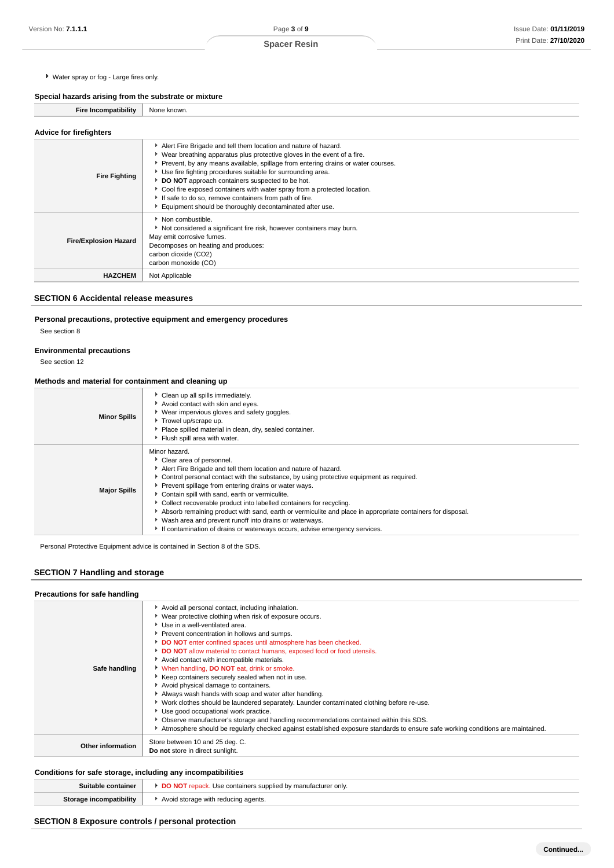Water spray or fog - Large fires only.

**Special hazards arising from the substrate or mixture**

| -111011111 | Nor.<br>aowi |
|------------|--------------|
|            |              |

| <b>Advice for firefighters</b> |                                                                                                                                                                                                                                                                                                                                                                                                                                                                                                                                                          |
|--------------------------------|----------------------------------------------------------------------------------------------------------------------------------------------------------------------------------------------------------------------------------------------------------------------------------------------------------------------------------------------------------------------------------------------------------------------------------------------------------------------------------------------------------------------------------------------------------|
| <b>Fire Fighting</b>           | Alert Fire Brigade and tell them location and nature of hazard.<br>• Wear breathing apparatus plus protective gloves in the event of a fire.<br>▶ Prevent, by any means available, spillage from entering drains or water courses.<br>▶ Use fire fighting procedures suitable for surrounding area.<br>DO NOT approach containers suspected to be hot.<br>Cool fire exposed containers with water spray from a protected location.<br>If safe to do so, remove containers from path of fire.<br>Equipment should be thoroughly decontaminated after use. |
| <b>Fire/Explosion Hazard</b>   | • Non combustible.<br>Not considered a significant fire risk, however containers may burn.<br>May emit corrosive fumes.<br>Decomposes on heating and produces:<br>carbon dioxide (CO2)<br>carbon monoxide (CO)                                                                                                                                                                                                                                                                                                                                           |
| <b>HAZCHEM</b>                 | Not Applicable                                                                                                                                                                                                                                                                                                                                                                                                                                                                                                                                           |

# **SECTION 6 Accidental release measures**

# **Personal precautions, protective equipment and emergency procedures**

See section 8

## **Environmental precautions**

See section 12

## **Methods and material for containment and cleaning up**

| <b>Minor Spills</b> | Clean up all spills immediately.<br>Avoid contact with skin and eyes.<br>Wear impervious gloves and safety goggles.<br>Trowel up/scrape up.<br>Place spilled material in clean, dry, sealed container.<br>Flush spill area with water.                                                                                                                                                                                                                                                                                                                                                                                                               |
|---------------------|------------------------------------------------------------------------------------------------------------------------------------------------------------------------------------------------------------------------------------------------------------------------------------------------------------------------------------------------------------------------------------------------------------------------------------------------------------------------------------------------------------------------------------------------------------------------------------------------------------------------------------------------------|
| <b>Major Spills</b> | Minor hazard.<br>Clear area of personnel.<br>Alert Fire Brigade and tell them location and nature of hazard.<br>► Control personal contact with the substance, by using protective equipment as required.<br>Prevent spillage from entering drains or water ways.<br>Contain spill with sand, earth or vermiculite.<br>▶ Collect recoverable product into labelled containers for recycling.<br>Absorb remaining product with sand, earth or vermiculite and place in appropriate containers for disposal.<br>• Wash area and prevent runoff into drains or waterways.<br>If contamination of drains or waterways occurs, advise emergency services. |

Personal Protective Equipment advice is contained in Section 8 of the SDS.

# **SECTION 7 Handling and storage**

| Safe handling            | Avoid all personal contact, including inhalation.<br>▶ Wear protective clothing when risk of exposure occurs.<br>Use in a well-ventilated area.<br>Prevent concentration in hollows and sumps.<br>DO NOT enter confined spaces until atmosphere has been checked.<br>DO NOT allow material to contact humans, exposed food or food utensils.<br>Avoid contact with incompatible materials.<br>When handling, DO NOT eat, drink or smoke.<br>Keep containers securely sealed when not in use.<br>Avoid physical damage to containers.<br>Always wash hands with soap and water after handling.<br>▶ Work clothes should be laundered separately. Launder contaminated clothing before re-use.<br>Use good occupational work practice.<br>▶ Observe manufacturer's storage and handling recommendations contained within this SDS.<br>Atmosphere should be regularly checked against established exposure standards to ensure safe working conditions are maintained. |
|--------------------------|---------------------------------------------------------------------------------------------------------------------------------------------------------------------------------------------------------------------------------------------------------------------------------------------------------------------------------------------------------------------------------------------------------------------------------------------------------------------------------------------------------------------------------------------------------------------------------------------------------------------------------------------------------------------------------------------------------------------------------------------------------------------------------------------------------------------------------------------------------------------------------------------------------------------------------------------------------------------|
| <b>Other information</b> | Store between 10 and 25 deg. C.<br>Do not store in direct sunlight.                                                                                                                                                                                                                                                                                                                                                                                                                                                                                                                                                                                                                                                                                                                                                                                                                                                                                                 |

# **Conditions for safe storage, including any incompatibilities**

| Suitable container | <b>DO NOT</b> repack. Use containers supplied by manufacturer only. |
|--------------------|---------------------------------------------------------------------|
|                    | storage with reducing agents.                                       |
|                    |                                                                     |

# **SECTION 8 Exposure controls / personal protection**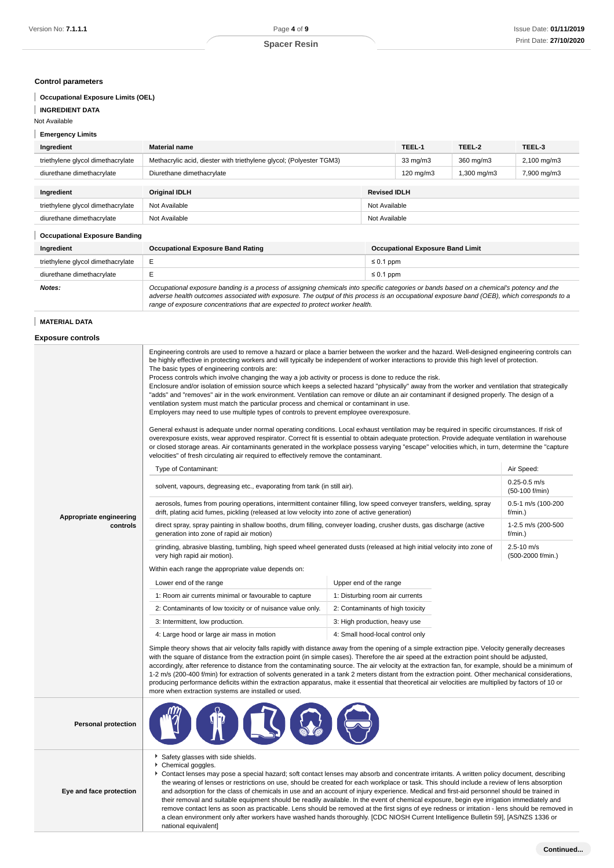### **Control parameters**

# **Occupational Exposure Limits (OEL)**

### **INGREDIENT DATA**

Not Available

### **Emergency Limits**

| Ingredient                           | <b>Material name</b>                                                                                                                                                                                                                                                                     |                | TEEL-1 | TEEL-2      | TEEL-3      |
|--------------------------------------|------------------------------------------------------------------------------------------------------------------------------------------------------------------------------------------------------------------------------------------------------------------------------------------|----------------|--------|-------------|-------------|
| triethylene glycol dimethacrylate    | Methacrylic acid, diester with triethylene glycol; (Polyester TGM3)                                                                                                                                                                                                                      |                |        | 360 mg/m3   | 2,100 mg/m3 |
| diurethane dimethacrylate            | Diurethane dimethacrylate                                                                                                                                                                                                                                                                |                |        | 1,300 mg/m3 | 7,900 mg/m3 |
|                                      |                                                                                                                                                                                                                                                                                          |                |        |             |             |
| Ingredient                           | <b>Original IDLH</b><br><b>Revised IDLH</b>                                                                                                                                                                                                                                              |                |        |             |             |
| triethylene glycol dimethacrylate    | Not Available                                                                                                                                                                                                                                                                            | Not Available  |        |             |             |
| diurethane dimethacrylate            | Not Available<br>Not Available                                                                                                                                                                                                                                                           |                |        |             |             |
| <b>Occupational Exposure Banding</b> |                                                                                                                                                                                                                                                                                          |                |        |             |             |
| Ingredient                           | <b>Occupational Exposure Band Rating</b><br><b>Occupational Exposure Band Limit</b>                                                                                                                                                                                                      |                |        |             |             |
| triethylene glycol dimethacrylate    | E                                                                                                                                                                                                                                                                                        | $\leq 0.1$ ppm |        |             |             |
| diurethane dimethacrylate            | E                                                                                                                                                                                                                                                                                        | $\leq 0.1$ ppm |        |             |             |
| Notes:                               | Occupational exposure banding is a process of assigning chemicals into specific categories or bands based on a chemical's potency and the<br>adverse health outcomes associated with exposure. The output of this process is an occupational exposure band (OEB), which corresponds to a |                |        |             |             |

range of exposure concentrations that are expected to protect worker health.

# **MATERIAL DATA**

**Exposure controls**

|                                     | Engineering controls are used to remove a hazard or place a barrier between the worker and the hazard. Well-designed engineering controls can<br>be highly effective in protecting workers and will typically be independent of worker interactions to provide this high level of protection.<br>The basic types of engineering controls are:<br>Process controls which involve changing the way a job activity or process is done to reduce the risk.<br>Enclosure and/or isolation of emission source which keeps a selected hazard "physically" away from the worker and ventilation that strategically<br>"adds" and "removes" air in the work environment. Ventilation can remove or dilute an air contaminant if designed properly. The design of a<br>ventilation system must match the particular process and chemical or contaminant in use.<br>Employers may need to use multiple types of controls to prevent employee overexposure.<br>General exhaust is adequate under normal operating conditions. Local exhaust ventilation may be required in specific circumstances. If risk of<br>overexposure exists, wear approved respirator. Correct fit is essential to obtain adequate protection. Provide adequate ventilation in warehouse<br>or closed storage areas. Air contaminants generated in the workplace possess varying "escape" velocities which, in turn, determine the "capture<br>velocities" of fresh circulating air required to effectively remove the contaminant.<br>Air Speed:<br>Type of Contaminant:<br>$0.25 - 0.5$ m/s<br>solvent, vapours, degreasing etc., evaporating from tank (in still air).<br>(50-100 f/min)<br>aerosols, fumes from pouring operations, intermittent container filling, low speed conveyer transfers, welding, spray<br>0.5-1 m/s (100-200 |                                     |                               |  |  |
|-------------------------------------|---------------------------------------------------------------------------------------------------------------------------------------------------------------------------------------------------------------------------------------------------------------------------------------------------------------------------------------------------------------------------------------------------------------------------------------------------------------------------------------------------------------------------------------------------------------------------------------------------------------------------------------------------------------------------------------------------------------------------------------------------------------------------------------------------------------------------------------------------------------------------------------------------------------------------------------------------------------------------------------------------------------------------------------------------------------------------------------------------------------------------------------------------------------------------------------------------------------------------------------------------------------------------------------------------------------------------------------------------------------------------------------------------------------------------------------------------------------------------------------------------------------------------------------------------------------------------------------------------------------------------------------------------------------------------------------------------------------------------------------------------------------------------------------------------------|-------------------------------------|-------------------------------|--|--|
| Appropriate engineering<br>controls | drift, plating acid fumes, pickling (released at low velocity into zone of active generation)<br>direct spray, spray painting in shallow booths, drum filling, conveyer loading, crusher dusts, gas discharge (active                                                                                                                                                                                                                                                                                                                                                                                                                                                                                                                                                                                                                                                                                                                                                                                                                                                                                                                                                                                                                                                                                                                                                                                                                                                                                                                                                                                                                                                                                                                                                                                   |                                     | f/min.)<br>1-2.5 m/s (200-500 |  |  |
|                                     | generation into zone of rapid air motion)                                                                                                                                                                                                                                                                                                                                                                                                                                                                                                                                                                                                                                                                                                                                                                                                                                                                                                                                                                                                                                                                                                                                                                                                                                                                                                                                                                                                                                                                                                                                                                                                                                                                                                                                                               |                                     | f/min.)                       |  |  |
|                                     | grinding, abrasive blasting, tumbling, high speed wheel generated dusts (released at high initial velocity into zone of<br>very high rapid air motion).                                                                                                                                                                                                                                                                                                                                                                                                                                                                                                                                                                                                                                                                                                                                                                                                                                                                                                                                                                                                                                                                                                                                                                                                                                                                                                                                                                                                                                                                                                                                                                                                                                                 | $2.5 - 10$ m/s<br>(500-2000 f/min.) |                               |  |  |
|                                     | Within each range the appropriate value depends on:                                                                                                                                                                                                                                                                                                                                                                                                                                                                                                                                                                                                                                                                                                                                                                                                                                                                                                                                                                                                                                                                                                                                                                                                                                                                                                                                                                                                                                                                                                                                                                                                                                                                                                                                                     |                                     |                               |  |  |
|                                     | Lower end of the range                                                                                                                                                                                                                                                                                                                                                                                                                                                                                                                                                                                                                                                                                                                                                                                                                                                                                                                                                                                                                                                                                                                                                                                                                                                                                                                                                                                                                                                                                                                                                                                                                                                                                                                                                                                  | Upper end of the range              |                               |  |  |
|                                     | 1: Room air currents minimal or favourable to capture                                                                                                                                                                                                                                                                                                                                                                                                                                                                                                                                                                                                                                                                                                                                                                                                                                                                                                                                                                                                                                                                                                                                                                                                                                                                                                                                                                                                                                                                                                                                                                                                                                                                                                                                                   | 1: Disturbing room air currents     |                               |  |  |
|                                     | 2: Contaminants of low toxicity or of nuisance value only.                                                                                                                                                                                                                                                                                                                                                                                                                                                                                                                                                                                                                                                                                                                                                                                                                                                                                                                                                                                                                                                                                                                                                                                                                                                                                                                                                                                                                                                                                                                                                                                                                                                                                                                                              | 2: Contaminants of high toxicity    |                               |  |  |
|                                     | 3: Intermittent, low production.                                                                                                                                                                                                                                                                                                                                                                                                                                                                                                                                                                                                                                                                                                                                                                                                                                                                                                                                                                                                                                                                                                                                                                                                                                                                                                                                                                                                                                                                                                                                                                                                                                                                                                                                                                        | 3: High production, heavy use       |                               |  |  |
|                                     | 4: Large hood or large air mass in motion<br>4: Small hood-local control only                                                                                                                                                                                                                                                                                                                                                                                                                                                                                                                                                                                                                                                                                                                                                                                                                                                                                                                                                                                                                                                                                                                                                                                                                                                                                                                                                                                                                                                                                                                                                                                                                                                                                                                           |                                     |                               |  |  |
|                                     | Simple theory shows that air velocity falls rapidly with distance away from the opening of a simple extraction pipe. Velocity generally decreases<br>with the square of distance from the extraction point (in simple cases). Therefore the air speed at the extraction point should be adjusted,<br>accordingly, after reference to distance from the contaminating source. The air velocity at the extraction fan, for example, should be a minimum of<br>1-2 m/s (200-400 f/min) for extraction of solvents generated in a tank 2 meters distant from the extraction point. Other mechanical considerations,<br>producing performance deficits within the extraction apparatus, make it essential that theoretical air velocities are multiplied by factors of 10 or<br>more when extraction systems are installed or used.                                                                                                                                                                                                                                                                                                                                                                                                                                                                                                                                                                                                                                                                                                                                                                                                                                                                                                                                                                          |                                     |                               |  |  |
| <b>Personal protection</b>          |                                                                                                                                                                                                                                                                                                                                                                                                                                                                                                                                                                                                                                                                                                                                                                                                                                                                                                                                                                                                                                                                                                                                                                                                                                                                                                                                                                                                                                                                                                                                                                                                                                                                                                                                                                                                         |                                     |                               |  |  |
| Eye and face protection             | Safety glasses with side shields.<br>Chemical goggles.<br>۰,<br>Contact lenses may pose a special hazard; soft contact lenses may absorb and concentrate irritants. A written policy document, describing<br>the wearing of lenses or restrictions on use, should be created for each workplace or task. This should include a review of lens absorption<br>and adsorption for the class of chemicals in use and an account of injury experience. Medical and first-aid personnel should be trained in<br>their removal and suitable equipment should be readily available. In the event of chemical exposure, begin eye irrigation immediately and<br>remove contact lens as soon as practicable. Lens should be removed at the first signs of eye redness or irritation - lens should be removed in<br>a clean environment only after workers have washed hands thoroughly. [CDC NIOSH Current Intelligence Bulletin 59], [AS/NZS 1336 or<br>national equivalent]                                                                                                                                                                                                                                                                                                                                                                                                                                                                                                                                                                                                                                                                                                                                                                                                                                     |                                     |                               |  |  |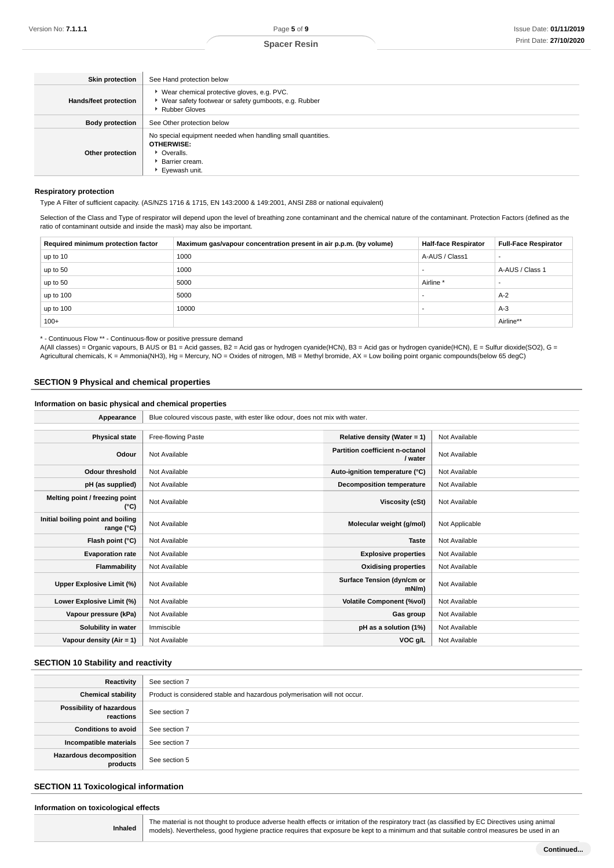#### **Spacer Resin**

| <b>Skin protection</b>       | See Hand protection below                                                                                                          |
|------------------------------|------------------------------------------------------------------------------------------------------------------------------------|
| <b>Hands/feet protection</b> | ▶ Wear chemical protective gloves, e.g. PVC.<br>▶ Wear safety footwear or safety gumboots, e.g. Rubber<br>Rubber Gloves            |
| <b>Body protection</b>       | See Other protection below                                                                                                         |
| Other protection             | No special equipment needed when handling small quantities.<br><b>OTHERWISE:</b><br>• Overalls.<br>Barrier cream.<br>Eyewash unit. |

#### **Respiratory protection**

Type A Filter of sufficient capacity. (AS/NZS 1716 & 1715, EN 143:2000 & 149:2001, ANSI Z88 or national equivalent)

Selection of the Class and Type of respirator will depend upon the level of breathing zone contaminant and the chemical nature of the contaminant. Protection Factors (defined as the ratio of contaminant outside and inside the mask) may also be important.

| Required minimum protection factor | Maximum gas/vapour concentration present in air p.p.m. (by volume) | <b>Half-face Respirator</b> | <b>Full-Face Respirator</b> |
|------------------------------------|--------------------------------------------------------------------|-----------------------------|-----------------------------|
| up to 10                           | 1000                                                               | A-AUS / Class1              | $\overline{\phantom{a}}$    |
| up to 50                           | 1000                                                               |                             | A-AUS / Class 1             |
| up to 50                           | 5000                                                               | Airline                     |                             |
| up to 100                          | 5000                                                               |                             | $A-2$                       |
| up to 100                          | 10000                                                              |                             | $A-3$                       |
| $100+$                             |                                                                    |                             | Airline**                   |

\* - Continuous Flow \*\* - Continuous-flow or positive pressure demand

A(All classes) = Organic vapours, B AUS or B1 = Acid gasses, B2 = Acid gas or hydrogen cyanide(HCN), B3 = Acid gas or hydrogen cyanide(HCN), E = Sulfur dioxide(SO2), G = Agricultural chemicals, K = Ammonia(NH3), Hg = Mercury, NO = Oxides of nitrogen, MB = Methyl bromide, AX = Low boiling point organic compounds(below 65 degC)

### **SECTION 9 Physical and chemical properties**

**Information on basic physical and chemical properties**

| Appearance                                      | Blue coloured viscous paste, with ester like odour, does not mix with water. |                                            |                |
|-------------------------------------------------|------------------------------------------------------------------------------|--------------------------------------------|----------------|
|                                                 |                                                                              |                                            |                |
| <b>Physical state</b>                           | Free-flowing Paste                                                           | Relative density (Water = 1)               | Not Available  |
| Odour                                           | Not Available                                                                | Partition coefficient n-octanol<br>/ water | Not Available  |
| <b>Odour threshold</b>                          | Not Available                                                                | Auto-ignition temperature (°C)             | Not Available  |
| pH (as supplied)                                | Not Available                                                                | <b>Decomposition temperature</b>           | Not Available  |
| Melting point / freezing point<br>(°C)          | Not Available                                                                | Viscosity (cSt)                            | Not Available  |
| Initial boiling point and boiling<br>range (°C) | Not Available                                                                | Molecular weight (g/mol)                   | Not Applicable |
| Flash point (°C)                                | Not Available                                                                | <b>Taste</b>                               | Not Available  |
| <b>Evaporation rate</b>                         | Not Available                                                                | <b>Explosive properties</b>                | Not Available  |
| Flammability                                    | Not Available                                                                | <b>Oxidising properties</b>                | Not Available  |
| Upper Explosive Limit (%)                       | Not Available                                                                | Surface Tension (dyn/cm or<br>mN/m         | Not Available  |
| Lower Explosive Limit (%)                       | Not Available                                                                | <b>Volatile Component (%vol)</b>           | Not Available  |
| Vapour pressure (kPa)                           | Not Available                                                                | Gas group                                  | Not Available  |
| Solubility in water                             | Immiscible                                                                   | pH as a solution (1%)                      | Not Available  |
| Vapour density (Air = 1)                        | Not Available                                                                | VOC g/L                                    | Not Available  |

### **SECTION 10 Stability and reactivity**

| Reactivity                                 | See section 7                                                             |
|--------------------------------------------|---------------------------------------------------------------------------|
| <b>Chemical stability</b>                  | Product is considered stable and hazardous polymerisation will not occur. |
| Possibility of hazardous<br>reactions      | See section 7                                                             |
| <b>Conditions to avoid</b>                 | See section 7                                                             |
| Incompatible materials                     | See section 7                                                             |
| <b>Hazardous decomposition</b><br>products | See section 5                                                             |

### **SECTION 11 Toxicological information**

#### **Information on toxicological effects**

|         | The material is not thought to pr |
|---------|-----------------------------------|
| Inhaled | models). Nevertheless, good hy    |

The material is not thought to produce adverse health effects or irritation of the respiratory tract (as classified by EC Directives using animal giene practice requires that exposure be kept to a minimum and that suitable control measures be used in an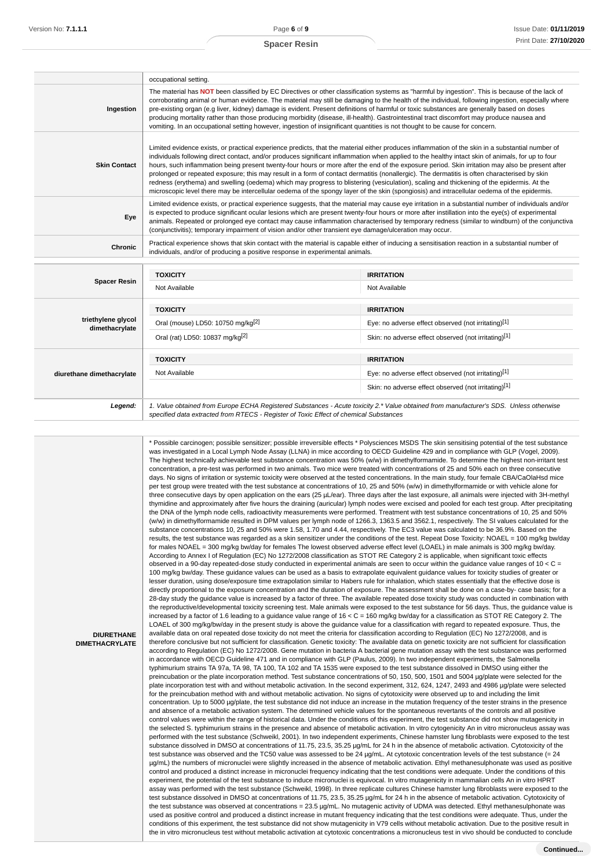#### **Spacer Resin**

|                                      | occupational setting.                                                                                                                                                                                                                                                                                                                                                                                                                                                                                                                                                                                                                                                                                                                                                                                                                                                                                 |                                                                                                                                        |  |
|--------------------------------------|-------------------------------------------------------------------------------------------------------------------------------------------------------------------------------------------------------------------------------------------------------------------------------------------------------------------------------------------------------------------------------------------------------------------------------------------------------------------------------------------------------------------------------------------------------------------------------------------------------------------------------------------------------------------------------------------------------------------------------------------------------------------------------------------------------------------------------------------------------------------------------------------------------|----------------------------------------------------------------------------------------------------------------------------------------|--|
| Ingestion                            | The material has NOT been classified by EC Directives or other classification systems as "harmful by ingestion". This is because of the lack of<br>corroborating animal or human evidence. The material may still be damaging to the health of the individual, following ingestion, especially where<br>pre-existing organ (e.g liver, kidney) damage is evident. Present definitions of harmful or toxic substances are generally based on doses<br>producing mortality rather than those producing morbidity (disease, ill-health). Gastrointestinal tract discomfort may produce nausea and<br>vomiting. In an occupational setting however, ingestion of insignificant quantities is not thought to be cause for concern.                                                                                                                                                                         |                                                                                                                                        |  |
| <b>Skin Contact</b>                  | Limited evidence exists, or practical experience predicts, that the material either produces inflammation of the skin in a substantial number of<br>individuals following direct contact, and/or produces significant inflammation when applied to the healthy intact skin of animals, for up to four<br>hours, such inflammation being present twenty-four hours or more after the end of the exposure period. Skin irritation may also be present after<br>prolonged or repeated exposure; this may result in a form of contact dermatitis (nonallergic). The dermatitis is often characterised by skin<br>redness (erythema) and swelling (oedema) which may progress to blistering (vesiculation), scaling and thickening of the epidermis. At the<br>microscopic level there may be intercellular oedema of the spongy layer of the skin (spongiosis) and intracellular oedema of the epidermis. |                                                                                                                                        |  |
| Eye                                  | Limited evidence exists, or practical experience suggests, that the material may cause eye irritation in a substantial number of individuals and/or<br>is expected to produce significant ocular lesions which are present twenty-four hours or more after instillation into the eye(s) of experimental<br>animals. Repeated or prolonged eye contact may cause inflammation characterised by temporary redness (similar to windburn) of the conjunctiva<br>(conjunctivitis); temporary impairment of vision and/or other transient eye damage/ulceration may occur.                                                                                                                                                                                                                                                                                                                                  |                                                                                                                                        |  |
| <b>Chronic</b>                       | Practical experience shows that skin contact with the material is capable either of inducing a sensitisation reaction in a substantial number of<br>individuals, and/or of producing a positive response in experimental animals.                                                                                                                                                                                                                                                                                                                                                                                                                                                                                                                                                                                                                                                                     |                                                                                                                                        |  |
|                                      | <b>TOXICITY</b>                                                                                                                                                                                                                                                                                                                                                                                                                                                                                                                                                                                                                                                                                                                                                                                                                                                                                       | <b>IRRITATION</b>                                                                                                                      |  |
| <b>Spacer Resin</b>                  | Not Available                                                                                                                                                                                                                                                                                                                                                                                                                                                                                                                                                                                                                                                                                                                                                                                                                                                                                         | Not Available                                                                                                                          |  |
|                                      | <b>TOXICITY</b>                                                                                                                                                                                                                                                                                                                                                                                                                                                                                                                                                                                                                                                                                                                                                                                                                                                                                       | <b>IRRITATION</b>                                                                                                                      |  |
| triethylene glycol<br>dimethacrylate | Oral (mouse) LD50: 10750 mg/kg <sup>[2]</sup>                                                                                                                                                                                                                                                                                                                                                                                                                                                                                                                                                                                                                                                                                                                                                                                                                                                         | Eye: no adverse effect observed (not irritating)[1]                                                                                    |  |
|                                      | Oral (rat) LD50: 10837 mg/kg <sup>[2]</sup>                                                                                                                                                                                                                                                                                                                                                                                                                                                                                                                                                                                                                                                                                                                                                                                                                                                           | Skin: no adverse effect observed (not irritating)[1]                                                                                   |  |
|                                      | <b>TOXICITY</b>                                                                                                                                                                                                                                                                                                                                                                                                                                                                                                                                                                                                                                                                                                                                                                                                                                                                                       | <b>IRRITATION</b>                                                                                                                      |  |
| diurethane dimethacrylate            | Not Available                                                                                                                                                                                                                                                                                                                                                                                                                                                                                                                                                                                                                                                                                                                                                                                                                                                                                         | Eye: no adverse effect observed (not irritating)[1]                                                                                    |  |
|                                      |                                                                                                                                                                                                                                                                                                                                                                                                                                                                                                                                                                                                                                                                                                                                                                                                                                                                                                       | Skin: no adverse effect observed (not irritating)[1]                                                                                   |  |
| Legend:                              |                                                                                                                                                                                                                                                                                                                                                                                                                                                                                                                                                                                                                                                                                                                                                                                                                                                                                                       | 1. Value obtained from Europe ECHA Registered Substances - Acute toxicity 2.* Value obtained from manufacturer's SDS. Unless otherwise |  |

specified data extracted from RTECS - Register of Toxic Effect of chemical Substances

\* Possible carcinogen; possible sensitizer; possible irreversible effects \* Polysciences MSDS The skin sensitising potential of the test substance was investigated in a Local Lymph Node Assay (LLNA) in mice according to OECD Guideline 429 and in compliance with GLP (Vogel, 2009). The highest technically achievable test substance concentration was 50% (w/w) in dimethylformamide. To determine the highest non-irritant test concentration, a pre-test was performed in two animals. Two mice were treated with concentrations of 25 and 50% each on three consecutive days. No signs of irritation or systemic toxicity were observed at the tested concentrations. In the main study, four female CBA/CaOlaHsd mice per test group were treated with the test substance at concentrations of 10, 25 and 50% (w/w) in dimethylformamide or with vehicle alone for three consecutive days by open application on the ears (25 µL/ear). Three days after the last exposure, all animals were injected with 3H-methyl thymidine and approximately after five hours the draining (auricular) lymph nodes were excised and pooled for each test group. After precipitating the DNA of the lymph node cells, radioactivity measurements were performed. Treatment with test substance concentrations of 10, 25 and 50% (w/w) in dimethylformamide resulted in DPM values per lymph node of 1266.3, 1363.5 and 3562.1, respectively. The SI values calculated for the substance concentrations 10, 25 and 50% were 1.58, 1.70 and 4.44, respectively. The EC3 value was calculated to be 36.9%. Based on the results, the test substance was regarded as a skin sensitizer under the conditions of the test. Repeat Dose Toxicity: NOAEL = 100 mg/kg bw/day for males NOAEL = 300 mg/kg bw/day for females The lowest observed adverse effect level (LOAEL) in male animals is 300 mg/kg bw/day. According to Annex I of Regulation (EC) No 1272/2008 classification as STOT RE Category 2 is applicable, when significant toxic effects observed in a 90-day repeated-dose study conducted in experimental animals are seen to occur within the guidance value ranges of 10 < C = 100 mg/kg bw/day. These guidance values can be used as a basis to extrapolate equivalent guidance values for toxicity studies of greater or lesser duration, using dose/exposure time extrapolation similar to Habers rule for inhalation, which states essentially that the effective dose is directly proportional to the exposure concentration and the duration of exposure. The assessment shall be done on a case-by- case basis; for a 28-day study the guidance value is increased by a factor of three. The available repeated dose toxicity study was conducted in combination with the reproductive/developmental toxicity screening test. Male animals were exposed to the test substance for 56 days. Thus, the guidance value is increased by a factor of 1.6 leading to a guidance value range of 16 < C = 160 mg/kg bw/day for a classification as STOT RE Category 2. The LOAEL of 300 mg/kg/bw/day in the present study is above the guidance value for a classification with regard to repeated exposure. Thus, the available data on oral repeated dose toxicity do not meet the criteria for classification according to Regulation (EC) No 1272/2008, and is therefore conclusive but not sufficient for classification. Genetic toxicity: The available data on genetic toxicity are not sufficient for classification according to Regulation (EC) No 1272/2008. Gene mutation in bacteria A bacterial gene mutation assay with the test substance was performed in accordance with OECD Guideline 471 and in compliance with GLP (Paulus, 2009). In two independent experiments, the Salmonella typhimurium strains TA 97a, TA 98, TA 100, TA 102 and TA 1535 were exposed to the test substance dissolved in DMSO using either the preincubation or the plate incorporation method. Test substance concentrations of 50, 150, 500, 1501 and 5004 µg/plate were selected for the plate incorporation test with and without metabolic activation. In the second experiment, 312, 624, 1247, 2493 and 4986 µg/plate were selected for the preincubation method with and without metabolic activation. No signs of cytotoxicity were observed up to and including the limit concentration. Up to 5000 µg/plate, the test substance did not induce an increase in the mutation frequency of the tester strains in the presence and absence of a metabolic activation system. The determined vehicle values for the spontaneous revertants of the controls and all positive control values were within the range of historical data. Under the conditions of this experiment, the test substance did not show mutagenicity in the selected S. typhimurium strains in the presence and absence of metabolic activation. In vitro cytogenicity An in vitro micronucleus assay was performed with the test substance (Schweikl, 2001). In two independent experiments, Chinese hamster lung fibroblasts were exposed to the test substance dissolved in DMSO at concentrations of 11.75, 23.5, 35.25 µg/mL for 24 h in the absence of metabolic activation. Cytotoxicity of the test substance was observed and the TC50 value was assessed to be 24 µg/mL. At cytotoxic concentration levels of the test substance (= 24 µg/mL) the numbers of micronuclei were slightly increased in the absence of metabolic activation. Ethyl methanesulphonate was used as positive control and produced a distinct increase in micronuclei frequency indicating that the test conditions were adequate. Under the conditions of this experiment, the potential of the test substance to induce micronuclei is equivocal. In vitro mutagenicity in mammalian cells An in vitro HPRT assay was performed with the test substance (Schweikl, 1998). In three replicate cultures Chinese hamster lung fibroblasts were exposed to the test substance dissolved in DMSO at concentrations of 11.75, 23.5, 35.25 µg/mL for 24 h in the absence of metabolic activation. Cytotoxicity of the test substance was observed at concentrations = 23.5 µg/mL. No mutagenic activity of UDMA was detected. Ethyl methanesulphonate was used as positive control and produced a distinct increase in mutant frequency indicating that the test conditions were adequate. Thus, under the conditions of this experiment, the test substance did not show mutagenicity in V79 cells without metabolic activation. Due to the positive result in the in vitro micronucleus test without metabolic activation at cytotoxic concentrations a micronucleus test in vivo should be conducted to conclude

**DIURETHANE DIMETHACRYLATE**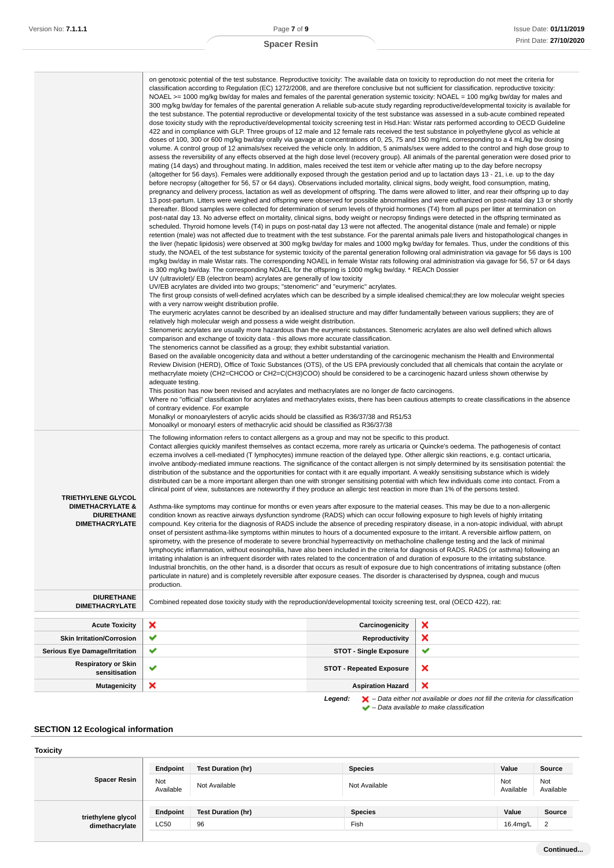|  |  | Spacer Resin |
|--|--|--------------|
|--|--|--------------|

|                                                                                                        | on genotoxic potential of the test substance. Reproductive toxicity: The available data on toxicity to reproduction do not meet the criteria for<br>classification according to Regulation (EC) 1272/2008, and are therefore conclusive but not sufficient for classification. reproductive toxicity:<br>NOAEL >= 1000 mg/kg bw/day for males and females of the parental generation systemic toxicity: NOAEL = 100 mg/kg bw/day for males and<br>300 mg/kg bw/day for females of the parental generation A reliable sub-acute study regarding reproductive/developmental toxicity is available for<br>the test substance. The potential reproductive or developmental toxicity of the test substance was assessed in a sub-acute combined repeated<br>dose toxicity study with the reproductive/developmental toxicity screening test in Hsd.Han: Wistar rats performed according to OECD Guideline<br>422 and in compliance with GLP. Three groups of 12 male and 12 female rats received the test substance in polyethylene glycol as vehicle at<br>doses of 100, 300 or 600 mg/kg bw/day orally via gavage at concentrations of 0, 25, 75 and 150 mg/mL corresponding to a 4 mL/kg bw dosing<br>volume. A control group of 12 animals/sex received the vehicle only. In addition, 5 animals/sex were added to the control and high dose group to<br>assess the reversibility of any effects observed at the high dose level (recovery group). All animals of the parental generation were dosed prior to<br>mating (14 days) and throughout mating. In addition, males received the test item or vehicle after mating up to the day before necropsy<br>(altogether for 56 days). Females were additionally exposed through the gestation period and up to lactation days 13 - 21, i.e. up to the day<br>before necropsy (altogether for 56, 57 or 64 days). Observations included mortality, clinical signs, body weight, food consumption, mating,<br>pregnancy and delivery process, lactation as well as development of offspring. The dams were allowed to litter, and rear their offspring up to day<br>thereafter. Blood samples were collected for determination of serum levels of thyroid hormones (T4) from all pups per litter at termination on<br>post-natal day 13. No adverse effect on mortality, clinical signs, body weight or necropsy findings were detected in the offspring terminated as<br>scheduled. Thyroid homone levels (T4) in pups on post-natal day 13 were not affected. The anogenital distance (male and female) or nipple<br>retention (male) was not affected due to treatment with the test substance. For the parental animals pale livers and histopathological changes in<br>the liver (hepatic lipidosis) were observed at 300 mg/kg bw/day for males and 1000 mg/kg bw/day for females. Thus, under the conditions of this<br>study, the NOAEL of the test substance for systemic toxicity of the parental generation following oral administration via gavage for 56 days is 100<br>mg/kg bw/day in male Wistar rats. The corresponding NOAEL in female Wistar rats following oral administration via gavage for 56, 57 or 64 days<br>is 300 mg/kg bw/day. The corresponding NOAEL for the offspring is 1000 mg/kg bw/day. * REACh Dossier<br>UV (ultraviolet)/ EB (electron beam) acrylates are generally of low toxicity<br>UV/EB acrylates are divided into two groups; "stenomeric" and "eurymeric" acrylates.<br>The first group consists of well-defined acrylates which can be described by a simple idealised chemical; they are low molecular weight species<br>with a very narrow weight distribution profile.<br>The eurymeric acrylates cannot be described by an idealised structure and may differ fundamentally between various suppliers; they are of<br>relatively high molecular weigh and possess a wide weight distribution.<br>Stenomeric acrylates are usually more hazardous than the eurymeric substances. Stenomeric acrylates are also well defined which allows<br>comparison and exchange of toxicity data - this allows more accurate classification.<br>The stenomerics cannot be classified as a group; they exhibit substantial variation.<br>Based on the available oncogenicity data and without a better understanding of the carcinogenic mechanism the Health and Environmental<br>Review Division (HERD), Office of Toxic Substances (OTS), of the US EPA previously concluded that all chemicals that contain the acrylate or<br>methacrylate moiety (CH2=CHCOO or CH2=C(CH3)COO) should be considered to be a carcinogenic hazard unless shown otherwise by<br>adequate testing.<br>This position has now been revised and acrylates and methacrylates are no longer de facto carcinogens.<br>Where no "official" classification for acrylates and methacrylates exists, there has been cautious attempts to create classifications in the absence<br>of contrary evidence. For example<br>Monalkyl or monoarylesters of acrylic acids should be classified as R36/37/38 and R51/53<br>Monoalkyl or monoaryl esters of methacrylic acid should be classified as R36/37/38 |                                                                  | 13 post-partum. Litters were weighed and offspring were observed for possible abnormalities and were euthanized on post-natal day 13 or shortly |
|--------------------------------------------------------------------------------------------------------|------------------------------------------------------------------------------------------------------------------------------------------------------------------------------------------------------------------------------------------------------------------------------------------------------------------------------------------------------------------------------------------------------------------------------------------------------------------------------------------------------------------------------------------------------------------------------------------------------------------------------------------------------------------------------------------------------------------------------------------------------------------------------------------------------------------------------------------------------------------------------------------------------------------------------------------------------------------------------------------------------------------------------------------------------------------------------------------------------------------------------------------------------------------------------------------------------------------------------------------------------------------------------------------------------------------------------------------------------------------------------------------------------------------------------------------------------------------------------------------------------------------------------------------------------------------------------------------------------------------------------------------------------------------------------------------------------------------------------------------------------------------------------------------------------------------------------------------------------------------------------------------------------------------------------------------------------------------------------------------------------------------------------------------------------------------------------------------------------------------------------------------------------------------------------------------------------------------------------------------------------------------------------------------------------------------------------------------------------------------------------------------------------------------------------------------------------------------------------------------------------------------------------------------------------------------------------------------------------------------------------------------------------------------------------------------------------------------------------------------------------------------------------------------------------------------------------------------------------------------------------------------------------------------------------------------------------------------------------------------------------------------------------------------------------------------------------------------------------------------------------------------------------------------------------------------------------------------------------------------------------------------------------------------------------------------------------------------------------------------------------------------------------------------------------------------------------------------------------------------------------------------------------------------------------------------------------------------------------------------------------------------------------------------------------------------------------------------------------------------------------------------------------------------------------------------------------------------------------------------------------------------------------------------------------------------------------------------------------------------------------------------------------------------------------------------------------------------------------------------------------------------------------------------------------------------------------------------------------------------------------------------------------------------------------------------------------------------------------------------------------------------------------------------------------------------------------------------------------------------------------------------------------------------------------------------------------------------------------------------------------------------------------------------------------------------------------------------------------------------------------------------------------------------------------------------------------------------------------------------------------------------------------------------------------------------------------------------------------------------------------------------------------------------------------------------------------------------------------------------------------------------------------------------|------------------------------------------------------------------|-------------------------------------------------------------------------------------------------------------------------------------------------|
| <b>TRIETHYLENE GLYCOL</b><br><b>DIMETHACRYLATE &amp;</b><br><b>DIURETHANE</b><br><b>DIMETHACRYLATE</b> | The following information refers to contact allergens as a group and may not be specific to this product.<br>Contact allergies quickly manifest themselves as contact eczema, more rarely as urticaria or Quincke's oedema. The pathogenesis of contact<br>eczema involves a cell-mediated (T lymphocytes) immune reaction of the delayed type. Other allergic skin reactions, e.g. contact urticaria,<br>involve antibody-mediated immune reactions. The significance of the contact allergen is not simply determined by its sensitisation potential: the<br>distribution of the substance and the opportunities for contact with it are equally important. A weakly sensitising substance which is widely<br>distributed can be a more important allergen than one with stronger sensitising potential with which few individuals come into contact. From a<br>clinical point of view, substances are noteworthy if they produce an allergic test reaction in more than 1% of the persons tested.<br>Asthma-like symptoms may continue for months or even years after exposure to the material ceases. This may be due to a non-allergenic<br>condition known as reactive airways dysfunction syndrome (RADS) which can occur following exposure to high levels of highly irritating<br>compound. Key criteria for the diagnosis of RADS include the absence of preceding respiratory disease, in a non-atopic individual, with abrupt<br>onset of persistent asthma-like symptoms within minutes to hours of a documented exposure to the irritant. A reversible airflow pattern, on<br>spirometry, with the presence of moderate to severe bronchial hyperreactivity on methacholine challenge testing and the lack of minimal<br>lymphocytic inflammation, without eosinophilia, have also been included in the criteria for diagnosis of RADS. RADS (or asthma) following an<br>irritating inhalation is an infrequent disorder with rates related to the concentration of and duration of exposure to the irritating substance.<br>Industrial bronchitis, on the other hand, is a disorder that occurs as result of exposure due to high concentrations of irritating substance (often<br>particulate in nature) and is completely reversible after exposure ceases. The disorder is characterised by dyspnea, cough and mucus<br>production.                                                                                                                                                                                                                                                                                                                                                                                                                                                                                                                                                                                                                                                                                                                                                                                                                                                                                                                                                                                                                                                                                                                                                                                                                                                                                                                                                                                                                                                                                                                                                                                                                                                                                                                                                                                                                                                                                                                                                                                                                                                                                                                                                                                                                                                                                                                                                                                                                                                                                                                                                                                                                                                                                                                                                                                                            |                                                                  |                                                                                                                                                 |
| <b>DIURETHANE</b><br><b>DIMETHACRYLATE</b>                                                             | Combined repeated dose toxicity study with the reproduction/developmental toxicity screening test, oral (OECD 422), rat:                                                                                                                                                                                                                                                                                                                                                                                                                                                                                                                                                                                                                                                                                                                                                                                                                                                                                                                                                                                                                                                                                                                                                                                                                                                                                                                                                                                                                                                                                                                                                                                                                                                                                                                                                                                                                                                                                                                                                                                                                                                                                                                                                                                                                                                                                                                                                                                                                                                                                                                                                                                                                                                                                                                                                                                                                                                                                                                                                                                                                                                                                                                                                                                                                                                                                                                                                                                                                                                                                                                                                                                                                                                                                                                                                                                                                                                                                                                                                                                                                                                                                                                                                                                                                                                                                                                                                                                                                                                                                                                                                                                                                                                                                                                                                                                                                                                                                                                                                                                                                                         |                                                                  |                                                                                                                                                 |
|                                                                                                        |                                                                                                                                                                                                                                                                                                                                                                                                                                                                                                                                                                                                                                                                                                                                                                                                                                                                                                                                                                                                                                                                                                                                                                                                                                                                                                                                                                                                                                                                                                                                                                                                                                                                                                                                                                                                                                                                                                                                                                                                                                                                                                                                                                                                                                                                                                                                                                                                                                                                                                                                                                                                                                                                                                                                                                                                                                                                                                                                                                                                                                                                                                                                                                                                                                                                                                                                                                                                                                                                                                                                                                                                                                                                                                                                                                                                                                                                                                                                                                                                                                                                                                                                                                                                                                                                                                                                                                                                                                                                                                                                                                                                                                                                                                                                                                                                                                                                                                                                                                                                                                                                                                                                                                  |                                                                  |                                                                                                                                                 |
| <b>Acute Toxicity</b>                                                                                  | ×<br>✔                                                                                                                                                                                                                                                                                                                                                                                                                                                                                                                                                                                                                                                                                                                                                                                                                                                                                                                                                                                                                                                                                                                                                                                                                                                                                                                                                                                                                                                                                                                                                                                                                                                                                                                                                                                                                                                                                                                                                                                                                                                                                                                                                                                                                                                                                                                                                                                                                                                                                                                                                                                                                                                                                                                                                                                                                                                                                                                                                                                                                                                                                                                                                                                                                                                                                                                                                                                                                                                                                                                                                                                                                                                                                                                                                                                                                                                                                                                                                                                                                                                                                                                                                                                                                                                                                                                                                                                                                                                                                                                                                                                                                                                                                                                                                                                                                                                                                                                                                                                                                                                                                                                                                           | Carcinogenicity                                                  | ×                                                                                                                                               |
| <b>Skin Irritation/Corrosion</b>                                                                       | ✔                                                                                                                                                                                                                                                                                                                                                                                                                                                                                                                                                                                                                                                                                                                                                                                                                                                                                                                                                                                                                                                                                                                                                                                                                                                                                                                                                                                                                                                                                                                                                                                                                                                                                                                                                                                                                                                                                                                                                                                                                                                                                                                                                                                                                                                                                                                                                                                                                                                                                                                                                                                                                                                                                                                                                                                                                                                                                                                                                                                                                                                                                                                                                                                                                                                                                                                                                                                                                                                                                                                                                                                                                                                                                                                                                                                                                                                                                                                                                                                                                                                                                                                                                                                                                                                                                                                                                                                                                                                                                                                                                                                                                                                                                                                                                                                                                                                                                                                                                                                                                                                                                                                                                                | Reproductivity                                                   | ×<br>✔                                                                                                                                          |
| <b>Serious Eye Damage/Irritation</b><br><b>Respiratory or Skin</b><br>sensitisation                    | ✔                                                                                                                                                                                                                                                                                                                                                                                                                                                                                                                                                                                                                                                                                                                                                                                                                                                                                                                                                                                                                                                                                                                                                                                                                                                                                                                                                                                                                                                                                                                                                                                                                                                                                                                                                                                                                                                                                                                                                                                                                                                                                                                                                                                                                                                                                                                                                                                                                                                                                                                                                                                                                                                                                                                                                                                                                                                                                                                                                                                                                                                                                                                                                                                                                                                                                                                                                                                                                                                                                                                                                                                                                                                                                                                                                                                                                                                                                                                                                                                                                                                                                                                                                                                                                                                                                                                                                                                                                                                                                                                                                                                                                                                                                                                                                                                                                                                                                                                                                                                                                                                                                                                                                                | <b>STOT - Single Exposure</b><br><b>STOT - Repeated Exposure</b> | ×                                                                                                                                               |
| <b>Mutagenicity</b>                                                                                    | ×                                                                                                                                                                                                                                                                                                                                                                                                                                                                                                                                                                                                                                                                                                                                                                                                                                                                                                                                                                                                                                                                                                                                                                                                                                                                                                                                                                                                                                                                                                                                                                                                                                                                                                                                                                                                                                                                                                                                                                                                                                                                                                                                                                                                                                                                                                                                                                                                                                                                                                                                                                                                                                                                                                                                                                                                                                                                                                                                                                                                                                                                                                                                                                                                                                                                                                                                                                                                                                                                                                                                                                                                                                                                                                                                                                                                                                                                                                                                                                                                                                                                                                                                                                                                                                                                                                                                                                                                                                                                                                                                                                                                                                                                                                                                                                                                                                                                                                                                                                                                                                                                                                                                                                | <b>Aspiration Hazard</b>                                         | ×                                                                                                                                               |
|                                                                                                        |                                                                                                                                                                                                                                                                                                                                                                                                                                                                                                                                                                                                                                                                                                                                                                                                                                                                                                                                                                                                                                                                                                                                                                                                                                                                                                                                                                                                                                                                                                                                                                                                                                                                                                                                                                                                                                                                                                                                                                                                                                                                                                                                                                                                                                                                                                                                                                                                                                                                                                                                                                                                                                                                                                                                                                                                                                                                                                                                                                                                                                                                                                                                                                                                                                                                                                                                                                                                                                                                                                                                                                                                                                                                                                                                                                                                                                                                                                                                                                                                                                                                                                                                                                                                                                                                                                                                                                                                                                                                                                                                                                                                                                                                                                                                                                                                                                                                                                                                                                                                                                                                                                                                                                  |                                                                  |                                                                                                                                                 |

**Legend:**  $\mathbf{X}$  – Data either not available or does not fill the criteria for classification

– Data available to make classification

# **SECTION 12 Ecological information**

#### **Toxicity Spacer Resin Endpoint Test Duration (hr) Species Value Source** Not<br>Available Not Not Not Available Not Available Not Available Not Available Not Available Not Available Not Ava Available Not Available **triethylene glycol dimethacrylate Endpoint Test Duration (hr) Species Value Source** LC50 96 Fish 16.4mg/L 2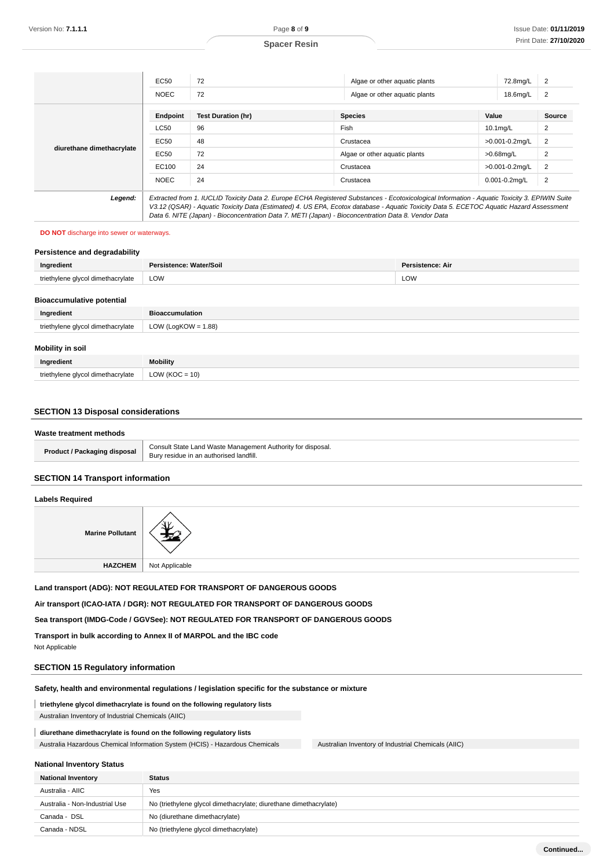|                           | EC50        | 72                                                                                                                                            | Algae or other aquatic plants | 72.8mg/L           | 2              |
|---------------------------|-------------|-----------------------------------------------------------------------------------------------------------------------------------------------|-------------------------------|--------------------|----------------|
|                           | <b>NOEC</b> | 72                                                                                                                                            | Algae or other aquatic plants | 18.6mg/L           | 2              |
|                           | Endpoint    | <b>Test Duration (hr)</b>                                                                                                                     | <b>Species</b>                | Value              | Source         |
| diurethane dimethacrylate | <b>LC50</b> | 96                                                                                                                                            | Fish                          | $10.1$ mg/L        | 2              |
|                           | EC50        | 48                                                                                                                                            | Crustacea                     | >0.001-0.2mg/L     | 2              |
|                           | EC50        | 72                                                                                                                                            | Algae or other aguatic plants | $>0.68$ mg/L       | $\overline{2}$ |
|                           | EC100       | 24                                                                                                                                            | Crustacea                     | >0.001-0.2mg/L     | $\overline{2}$ |
|                           | <b>NOEC</b> | 24                                                                                                                                            | Crustacea                     | $0.001 - 0.2$ mg/L | $\overline{2}$ |
| Legend:                   |             | Extracted from 1. IUCLID Toxicity Data 2. Europe ECHA Registered Substances - Ecotoxicological Information - Aquatic Toxicity 3. EPIWIN Suite |                               |                    |                |

V3.12 (QSAR) - Aquatic Toxicity Data (Estimated) 4. US EPA, Ecotox database - Aquatic Toxicity Data 5. ECETOC Aquatic Hazard Assessment Data 6. NITE (Japan) - Bioconcentration Data 7. METI (Japan) - Bioconcentration Data 8. Vendor Data

#### **DO NOT** discharge into sewer or waterways.

| Persistence and degradability     |                         |                         |
|-----------------------------------|-------------------------|-------------------------|
| Ingredient                        | Persistence: Water/Soil | <b>Persistence: Air</b> |
| triethylene glycol dimethacrylate | LOW                     | LOW                     |
| <b>Bioaccumulative potential</b>  |                         |                         |
| Ingredient                        | <b>Bioaccumulation</b>  |                         |
| triethylene glycol dimethacrylate | LOW (LogKOW = $1.88$ )  |                         |
| Mobility in soil                  |                         |                         |
| Ingredient                        | Mobility                |                         |

# **SECTION 13 Disposal considerations**

triethylene glycol dimethacrylate  $\vert$  LOW (KOC = 10)

| Waste treatment methods             |                                                                                                        |
|-------------------------------------|--------------------------------------------------------------------------------------------------------|
| <b>Product / Packaging disposal</b> | Consult State Land Waste Management Authority for disposal.<br>Bury residue in an authorised landfill. |

### **SECTION 14 Transport information**

### **Labels Required**

| <b>Marine Pollutant</b> |                |
|-------------------------|----------------|
| <b>HAZCHEM</b>          | Not Applicable |

**Land transport (ADG): NOT REGULATED FOR TRANSPORT OF DANGEROUS GOODS**

**Air transport (ICAO-IATA / DGR): NOT REGULATED FOR TRANSPORT OF DANGEROUS GOODS**

**Sea transport (IMDG-Code / GGVSee): NOT REGULATED FOR TRANSPORT OF DANGEROUS GOODS**

**Transport in bulk according to Annex II of MARPOL and the IBC code**

Not Applicable

### **SECTION 15 Regulatory information**

### **Safety, health and environmental regulations / legislation specific for the substance or mixture**

**triethylene glycol dimethacrylate is found on the following regulatory lists**

Australian Inventory of Industrial Chemicals (AIIC)

#### **diurethane dimethacrylate is found on the following regulatory lists**

Australia Hazardous Chemical Information System (HCIS) - Hazardous Chemicals Australian Inventory of Industrial Chemicals (AIIC)

#### **National Inventory Status**

| <b>National Inventory</b>      | <b>Status</b>                                                     |
|--------------------------------|-------------------------------------------------------------------|
| Australia - AIIC               | Yes                                                               |
| Australia - Non-Industrial Use | No (triethylene glycol dimethacrylate; diurethane dimethacrylate) |
| Canada - DSL                   | No (diurethane dimethacrylate)                                    |
| Canada - NDSL                  | No (triethylene glycol dimethacrylate)                            |